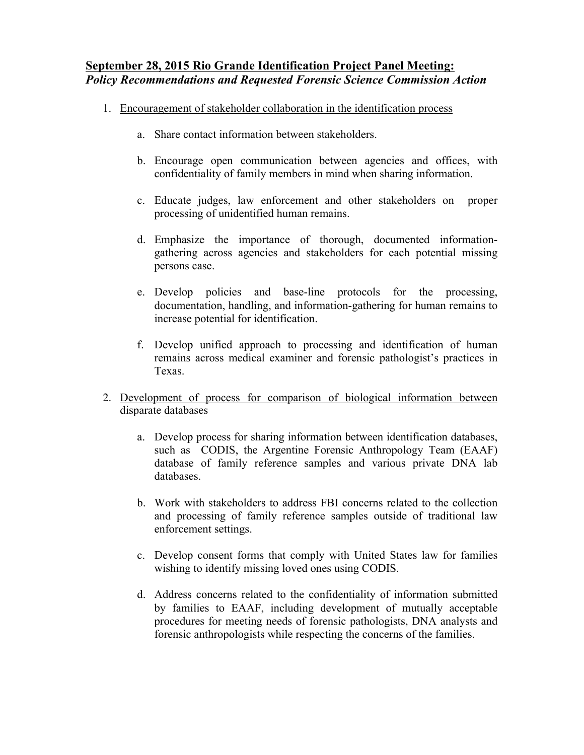## **September 28, 2015 Rio Grande Identification Project Panel Meeting:**  *Policy Recommendations and Requested Forensic Science Commission Action*

- 1. Encouragement of stakeholder collaboration in the identification process
	- a. Share contact information between stakeholders.
	- b. Encourage open communication between agencies and offices, with confidentiality of family members in mind when sharing information.
	- c. Educate judges, law enforcement and other stakeholders on proper processing of unidentified human remains.
	- d. Emphasize the importance of thorough, documented informationgathering across agencies and stakeholders for each potential missing persons case.
	- e. Develop policies and base-line protocols for the processing, documentation, handling, and information-gathering for human remains to increase potential for identification.
	- f. Develop unified approach to processing and identification of human remains across medical examiner and forensic pathologist's practices in Texas.
- 2. Development of process for comparison of biological information between disparate databases
	- a. Develop process for sharing information between identification databases, such as CODIS, the Argentine Forensic Anthropology Team (EAAF) database of family reference samples and various private DNA lab databases.
	- b. Work with stakeholders to address FBI concerns related to the collection and processing of family reference samples outside of traditional law enforcement settings.
	- c. Develop consent forms that comply with United States law for families wishing to identify missing loved ones using CODIS.
	- d. Address concerns related to the confidentiality of information submitted by families to EAAF, including development of mutually acceptable procedures for meeting needs of forensic pathologists, DNA analysts and forensic anthropologists while respecting the concerns of the families.